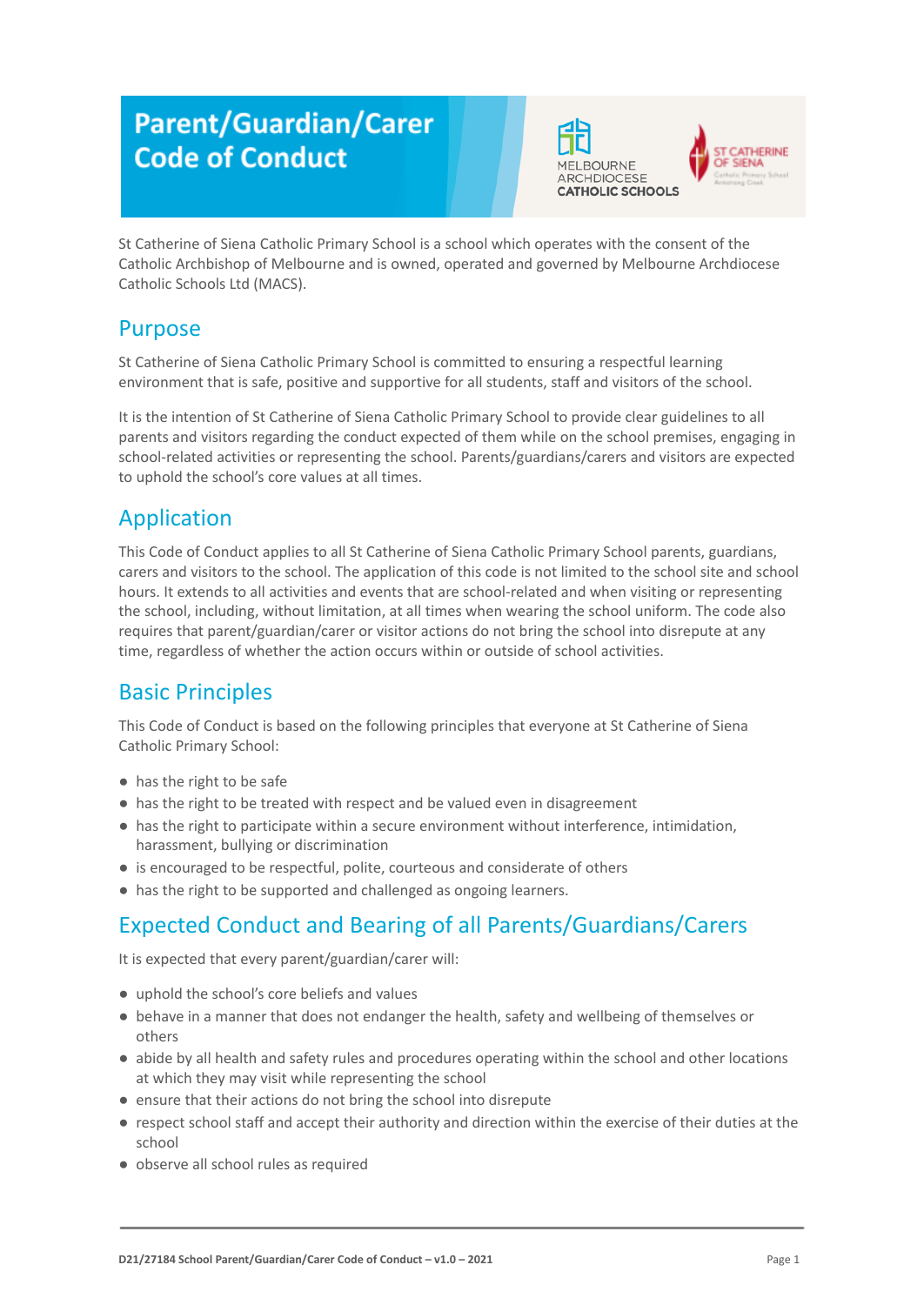# **Parent/Guardian/Carer Code of Conduct**





St Catherine of Siena Catholic Primary School is a school which operates with the consent of the Catholic Archbishop of Melbourne and is owned, operated and governed by Melbourne Archdiocese Catholic Schools Ltd (MACS).

# Purpose

St Catherine of Siena Catholic Primary School is committed to ensuring a respectful learning environment that is safe, positive and supportive for all students, staff and visitors of the school.

It is the intention of St Catherine of Siena Catholic Primary School to provide clear guidelines to all parents and visitors regarding the conduct expected of them while on the school premises, engaging in school-related activities or representing the school. Parents/guardians/carers and visitors are expected to uphold the school's core values at all times.

# Application

This Code of Conduct applies to all St Catherine of Siena Catholic Primary School parents, guardians, carers and visitors to the school. The application of this code is not limited to the school site and school hours. It extends to all activities and events that are school-related and when visiting or representing the school, including, without limitation, at all times when wearing the school uniform. The code also requires that parent/guardian/carer or visitor actions do not bring the school into disrepute at any time, regardless of whether the action occurs within or outside of school activities.

# Basic Principles

This Code of Conduct is based on the following principles that everyone at St Catherine of Siena Catholic Primary School:

- has the right to be safe
- has the right to be treated with respect and be valued even in disagreement
- has the right to participate within a secure environment without interference, intimidation, harassment, bullying or discrimination
- is encouraged to be respectful, polite, courteous and considerate of others
- has the right to be supported and challenged as ongoing learners.

### Expected Conduct and Bearing of all Parents/Guardians/Carers

It is expected that every parent/guardian/carer will:

- uphold the school's core beliefs and values
- behave in a manner that does not endanger the health, safety and wellbeing of themselves or others
- abide by all health and safety rules and procedures operating within the school and other locations at which they may visit while representing the school
- ensure that their actions do not bring the school into disrepute
- respect school staff and accept their authority and direction within the exercise of their duties at the school
- observe all school rules as required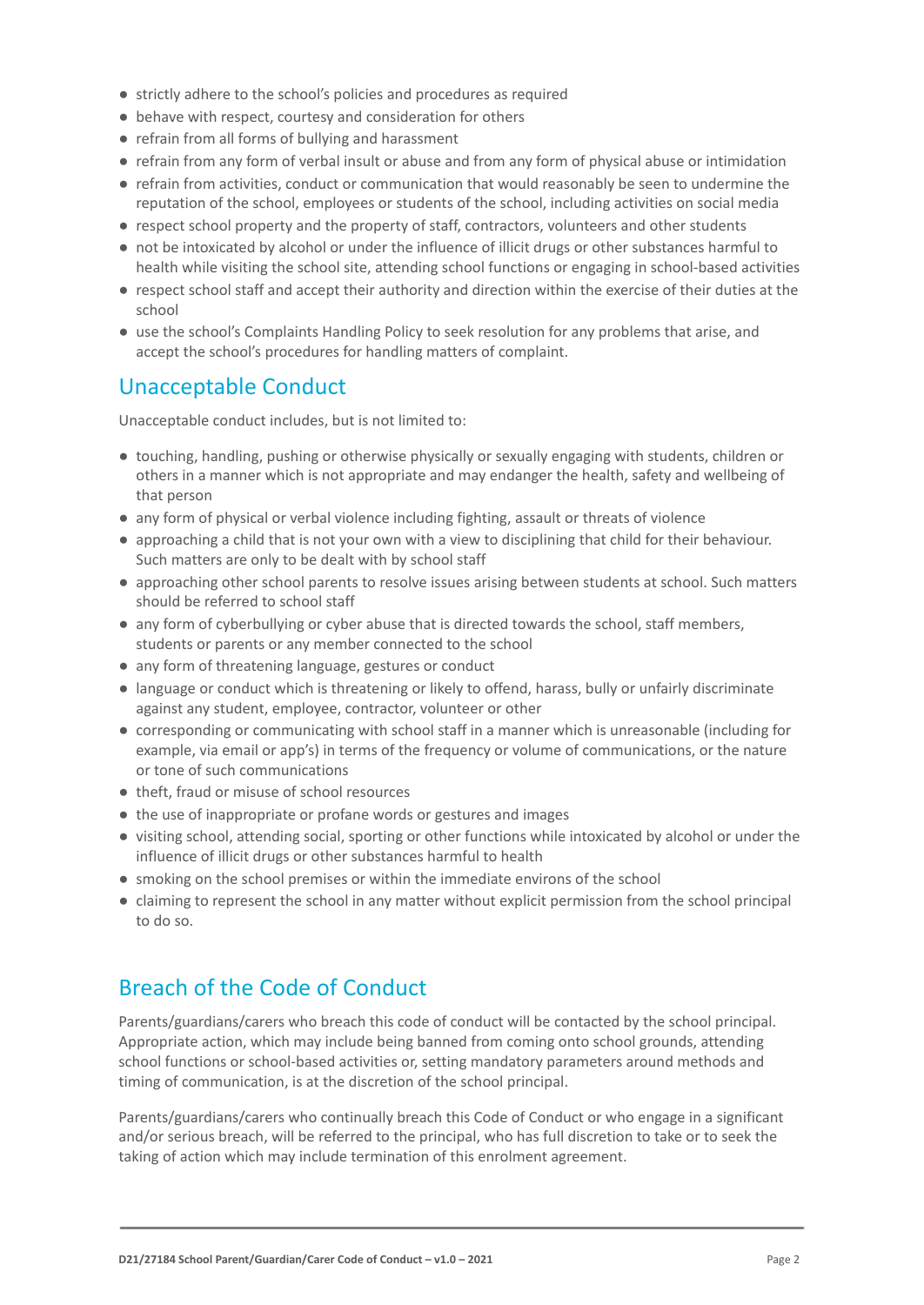- strictly adhere to the school's policies and procedures as required
- behave with respect, courtesy and consideration for others
- refrain from all forms of bullying and harassment
- refrain from any form of verbal insult or abuse and from any form of physical abuse or intimidation
- refrain from activities, conduct or communication that would reasonably be seen to undermine the reputation of the school, employees or students of the school, including activities on social media
- respect school property and the property of staff, contractors, volunteers and other students
- not be intoxicated by alcohol or under the influence of illicit drugs or other substances harmful to health while visiting the school site, attending school functions or engaging in school-based activities
- respect school staff and accept their authority and direction within the exercise of their duties at the school
- use the school's Complaints Handling Policy to seek resolution for any problems that arise, and accept the school's procedures for handling matters of complaint.

#### Unacceptable Conduct

Unacceptable conduct includes, but is not limited to:

- touching, handling, pushing or otherwise physically or sexually engaging with students, children or others in a manner which is not appropriate and may endanger the health, safety and wellbeing of that person
- any form of physical or verbal violence including fighting, assault or threats of violence
- approaching a child that is not your own with a view to disciplining that child for their behaviour. Such matters are only to be dealt with by school staff
- approaching other school parents to resolve issues arising between students at school. Such matters should be referred to school staff
- any form of cyberbullying or cyber abuse that is directed towards the school, staff members, students or parents or any member connected to the school
- any form of threatening language, gestures or conduct
- language or conduct which is threatening or likely to offend, harass, bully or unfairly discriminate against any student, employee, contractor, volunteer or other
- corresponding or communicating with school staff in a manner which is unreasonable (including for example, via email or app's) in terms of the frequency or volume of communications, or the nature or tone of such communications
- theft, fraud or misuse of school resources
- the use of inappropriate or profane words or gestures and images
- visiting school, attending social, sporting or other functions while intoxicated by alcohol or under the influence of illicit drugs or other substances harmful to health
- smoking on the school premises or within the immediate environs of the school
- claiming to represent the school in any matter without explicit permission from the school principal to do so.

### Breach of the Code of Conduct

Parents/guardians/carers who breach this code of conduct will be contacted by the school principal. Appropriate action, which may include being banned from coming onto school grounds, attending school functions or school-based activities or, setting mandatory parameters around methods and timing of communication, is at the discretion of the school principal.

Parents/guardians/carers who continually breach this Code of Conduct or who engage in a significant and/or serious breach, will be referred to the principal, who has full discretion to take or to seek the taking of action which may include termination of this enrolment agreement.